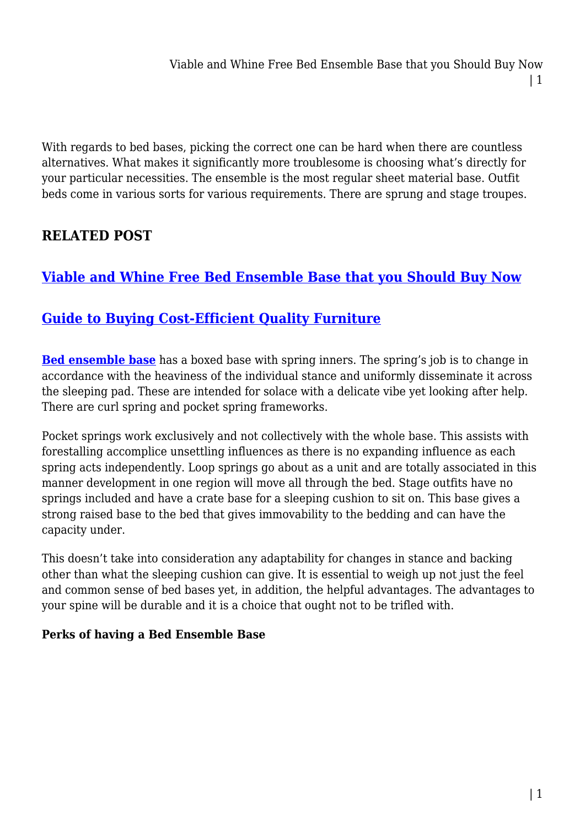With regards to bed bases, picking the correct one can be hard when there are countless alternatives. What makes it significantly more troublesome is choosing what's directly for your particular necessities. The ensemble is the most regular sheet material base. Outfit beds come in various sorts for various requirements. There are sprung and stage troupes.

# **RELATED POST**

# **[Viable and Whine Free Bed Ensemble Base that you Should Buy Now](https://inetgiant.com.au/viable-and-whine-free-bed-ensemble-base-that-you-should-buy-now/)**

## **[Guide to Buying Cost-Efficient Quality Furniture](https://inetgiant.com.au/guide-to-buying-cost-efficient-quality-furniture/)**

**[Bed ensemble base](https://furnitureoffers.com.au/beds/bed-ensemble-base/)** has a boxed base with spring inners. The spring's job is to change in accordance with the heaviness of the individual stance and uniformly disseminate it across the sleeping pad. These are intended for solace with a delicate vibe yet looking after help. There are curl spring and pocket spring frameworks.

Pocket springs work exclusively and not collectively with the whole base. This assists with forestalling accomplice unsettling influences as there is no expanding influence as each spring acts independently. Loop springs go about as a unit and are totally associated in this manner development in one region will move all through the bed. Stage outfits have no springs included and have a crate base for a sleeping cushion to sit on. This base gives a strong raised base to the bed that gives immovability to the bedding and can have the capacity under.

This doesn't take into consideration any adaptability for changes in stance and backing other than what the sleeping cushion can give. It is essential to weigh up not just the feel and common sense of bed bases yet, in addition, the helpful advantages. The advantages to your spine will be durable and it is a choice that ought not to be trifled with.

## **Perks of having a Bed Ensemble Base**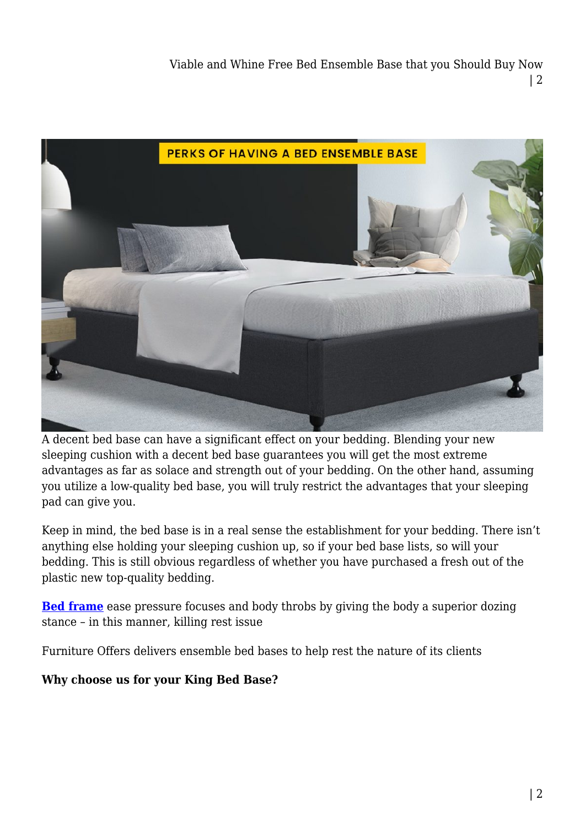Viable and Whine Free Bed Ensemble Base that you Should Buy Now | 2



A decent bed base can have a significant effect on your bedding. Blending your new sleeping cushion with a decent bed base guarantees you will get the most extreme advantages as far as solace and strength out of your bedding. On the other hand, assuming you utilize a low-quality bed base, you will truly restrict the advantages that your sleeping pad can give you.

Keep in mind, the bed base is in a real sense the establishment for your bedding. There isn't anything else holding your sleeping cushion up, so if your bed base lists, so will your bedding. This is still obvious regardless of whether you have purchased a fresh out of the plastic new top-quality bedding.

**[Bed frame](https://furnitureoffers.com.au/beds/bed-frame/)** ease pressure focuses and body throbs by giving the body a superior dozing stance – in this manner, killing rest issue

Furniture Offers delivers ensemble bed bases to help rest the nature of its clients

#### **Why choose us for your King Bed Base?**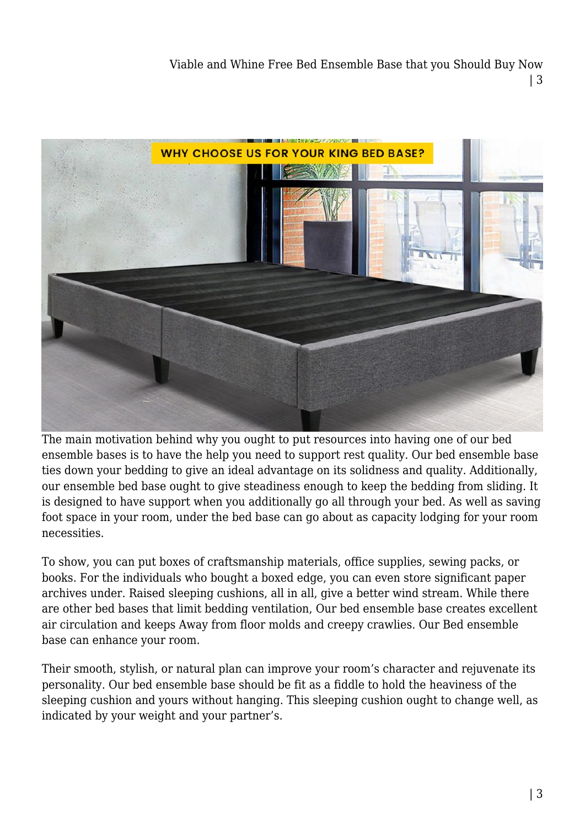Viable and Whine Free Bed Ensemble Base that you Should Buy Now | 3



The main motivation behind why you ought to put resources into having one of our bed ensemble bases is to have the help you need to support rest quality. Our bed ensemble base ties down your bedding to give an ideal advantage on its solidness and quality. Additionally, our ensemble bed base ought to give steadiness enough to keep the bedding from sliding. It is designed to have support when you additionally go all through your bed. As well as saving foot space in your room, under the bed base can go about as capacity lodging for your room necessities.

To show, you can put boxes of craftsmanship materials, office supplies, sewing packs, or books. For the individuals who bought a boxed edge, you can even store significant paper archives under. Raised sleeping cushions, all in all, give a better wind stream. While there are other bed bases that limit bedding ventilation, Our bed ensemble base creates excellent air circulation and keeps Away from floor molds and creepy crawlies. Our Bed ensemble base can enhance your room.

Their smooth, stylish, or natural plan can improve your room's character and rejuvenate its personality. Our bed ensemble base should be fit as a fiddle to hold the heaviness of the sleeping cushion and yours without hanging. This sleeping cushion ought to change well, as indicated by your weight and your partner's.